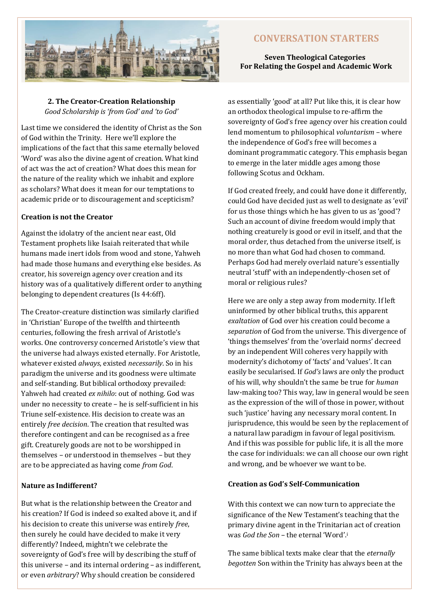

# **CONVERSATION STARTERS**

## **Seven Theological Categories For Relating the Gospel and Academic Work**

**2. The Creator-Creation Relationship** *Good Scholarship is 'from God' and 'to God'*

Last time we considered the identity of Christ as the Son of God within the Trinity. Here we'll explore the implications of the fact that this same eternally beloved 'Word' was also the divine agent of creation. What kind of act was the act of creation? What does this mean for the nature of the reality which we inhabit and explore as scholars? What does it mean for our temptations to academic pride or to discouragement and scepticism?

#### **Creation is not the Creator**

Against the idolatry of the ancient near east, Old Testament prophets like Isaiah reiterated that while humans made inert idols from wood and stone, Yahweh had made those humans and everything else besides. As creator, his sovereign agency over creation and its history was of a qualitatively different order to anything belonging to dependent creatures (Is 44:6ff).

The Creator-creature distinction was similarly clarified in 'Christian' Europe of the twelfth and thirteenth centuries, following the fresh arrival of Aristotle's works. One controversy concerned Aristotle's view that the universe had always existed eternally. For Aristotle, whatever existed *always*, existed *necessarily*. So in his paradigm the universe and its goodness were ultimate and self-standing. But biblical orthodoxy prevailed: Yahweh had created *ex nihilo*: out of nothing. God was under no necessity to create – he is self-sufficient in his Triune self-existence. His decision to create was an entirely *free decision*. The creation that resulted was therefore contingent and can be recognised as a free gift. Creaturely goods are not to be worshipped in themselves – or understood in themselves – but they are to be appreciated as having come *from God*.

#### **Nature as Indifferent?**

But what is the relationship between the Creator and his creation? If God is indeed so exalted above it, and if his decision to create this universe was entirely *free*, then surely he could have decided to make it very differently? Indeed, mightn't we celebrate the sovereignty of God's free will by describing the stuff of this universe – and its internal ordering – as indifferent, or even *arbitrary*? Why should creation be considered

as essentially 'good' at all? Put like this, it is clear how an orthodox theological impulse to re-affirm the sovereignty of God's free agency over his creation could lend momentum to philosophical *voluntarism* – where the independence of God's free will becomes a dominant programmatic category. This emphasis began to emerge in the later middle ages among those following Scotus and Ockham.

If God created freely, and could have done it differently, could God have decided just as well to designate as 'evil' for us those things which he has given to us as 'good'? Such an account of divine freedom would imply that nothing creaturely is good or evil in itself, and that the moral order, thus detached from the universe itself, is no more than what God had chosen to command. Perhaps God had merely overlaid nature's essentially neutral 'stuff' with an independently-chosen set of moral or religious rules?

Here we are only a step away from modernity. If left uninformed by other biblical truths, this apparent *exaltation* of God over his creation could become a *separation* of God from the universe. This divergence of 'things themselves' from the 'overlaid norms' decreed by an independent Will coheres very happily with modernity's dichotomy of 'facts' and 'values'. It can easily be secularised. If *God's* laws are only the product of his will, why shouldn't the same be true for *human*  law-making too? This way, law in general would be seen as the expression of the will of those in power, without such 'justice' having any necessary moral content. In jurisprudence, this would be seen by the replacement of a natural law paradigm in favour of legal positivism. And if this was possible for public life, it is all the more the case for individuals: we can all choose our own right and wrong, and be whoever we want to be.

### **Creation as God's Self-Communication**

With this context we can now turn to appreciate the significance of the New Testament's teaching that the primary divine agent in the Trinitarian act of creation was *God the Son* – the eternal 'Word'.<sup>i</sup>

The same biblical texts make clear that the *eternally begotten* Son within the Trinity has always been at the